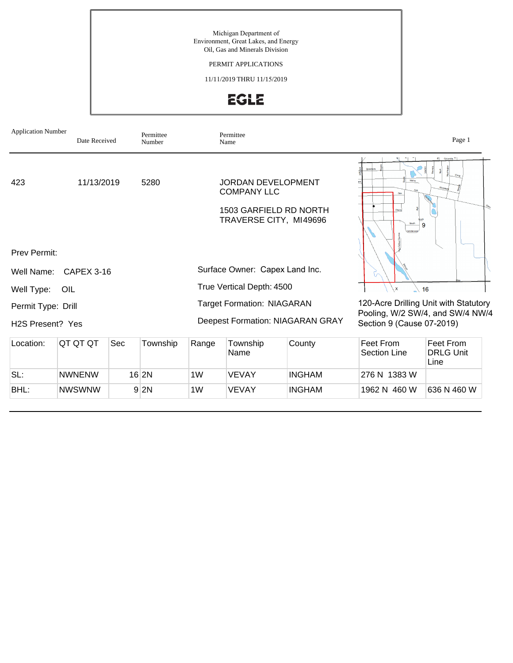Michigan Department of Environment, Great Lakes, and Energy Oil, Gas and Minerals Division

PERMIT APPLICATIONS

11/11/2019 THRU 11/15/2019



| <b>Application Number</b>                                            | Date Received |     | Permittee<br>Number |                                                                              | Permittee<br>Name                                                         |                        |                                                                                                        | Page 1                                  |  |
|----------------------------------------------------------------------|---------------|-----|---------------------|------------------------------------------------------------------------------|---------------------------------------------------------------------------|------------------------|--------------------------------------------------------------------------------------------------------|-----------------------------------------|--|
| 423                                                                  | 11/13/2019    |     | 5280                |                                                                              | <b>JORDAN DEVELOPMENT</b><br><b>COMPANY LLC</b><br>TRAVERSE CITY, MI49696 | 1503 GARFIELD RD NORTH | Sycamore<br>Maine                                                                                      | Columbia <sup>v</sup><br>$\overline{9}$ |  |
| <b>Prev Permit:</b><br>CAPEX 3-16<br>Well Name:<br>Well Type:<br>OIL |               |     |                     | Surface Owner: Capex Land Inc.<br>True Vertical Depth: 4500                  |                                                                           |                        | $\mathbf{x}$                                                                                           | 16                                      |  |
| Permit Type: Drill<br>H <sub>2</sub> S Present? Yes                  |               |     |                     | <b>Target Formation: NIAGARAN</b><br><b>Deepest Formation: NIAGARAN GRAY</b> |                                                                           |                        | 120-Acre Drilling Unit with Statutory<br>Pooling, W/2 SW/4, and SW/4 NW/4<br>Section 9 (Cause 07-2019) |                                         |  |
| Location:                                                            | QT QT QT      | Sec | Township            | Range                                                                        | Township<br>Name                                                          | County                 | Feet From<br><b>Section Line</b>                                                                       | Feet From<br><b>DRLG Unit</b><br>Line   |  |
| SL:                                                                  | <b>NWNENW</b> |     | $16$ 2N             | 1W                                                                           | <b>VEVAY</b>                                                              | <b>INGHAM</b>          | 276 N 1383 W                                                                                           |                                         |  |
| BHL:                                                                 | <b>NWSWNW</b> |     | 9 2N                | 1W                                                                           | <b>VEVAY</b>                                                              | <b>INGHAM</b>          | 1962 N 460 W                                                                                           | 636 N 460 W                             |  |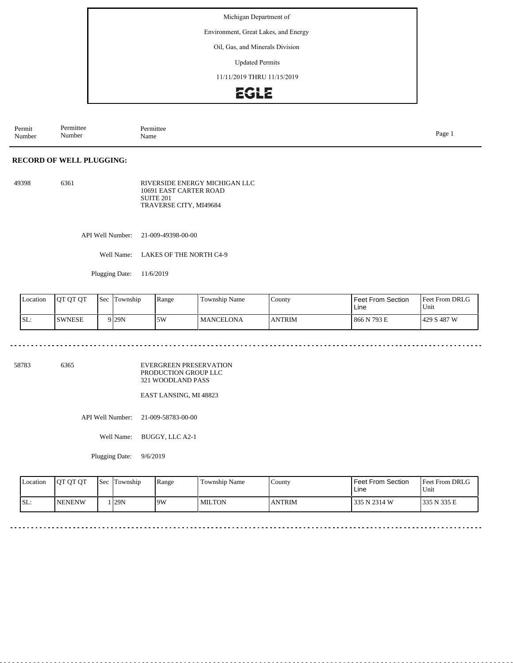Environment, Great Lakes, and Energy

#### Oil, Gas, and Minerals Division

Updated Permits

11/11/2019 THRU 11/15/2019

## EGLE

Permit Number Permittee Number Permittee<br>Name Name Page 1

#### **RECORD OF WELL PLUGGING:**

49398 6361 RIVERSIDE ENERGY MICHIGAN LLC 10691 EAST CARTER ROAD SUITE 201 TRAVERSE CITY, MI49684

API Well Number: 21-009-49398-00-00

Well Name: LAKES OF THE NORTH C4-9

Plugging Date: 11/6/2019

| Location | 10T OT OT     | <b>Sec</b> | l'I'ownship      | Range      | Township Name    | County        | Feet From Section<br>Line | <b>Feet From DRLG</b><br>Unit |
|----------|---------------|------------|------------------|------------|------------------|---------------|---------------------------|-------------------------------|
| SL:      | <b>SWNESE</b> |            | 9 <sub>29N</sub> | 5M<br>J VV | <b>MANCELONA</b> | <b>ANTRIM</b> | 866 N 793 E               | 429 S 487 W                   |

. . . . . . . . <u>. . . . . . . . . . .</u>

58783 6365

EVERGREEN PRESERVATION PRODUCTION GROUP LLC 321 WOODLAND PASS

EAST LANSING, MI 48823

API Well Number: 21-009-58783-00-00

Well Name: BUGGY, LLC A2-1

Plugging Date: 9/6/2019

| <b>Location</b> | <b>OT QT QT</b> | <b>Sec</b> | Township | Range | <b>Township Name</b> | County        | <b>Feet From Section</b><br>∟ine | <b>Feet From DRLG</b><br>Unit |
|-----------------|-----------------|------------|----------|-------|----------------------|---------------|----------------------------------|-------------------------------|
| SL:             | <b>INENENW</b>  |            | 129N     | 9W    | l MILTON             | <b>ANTRIM</b> | 335 N 2314 W                     | 335 N 335 E                   |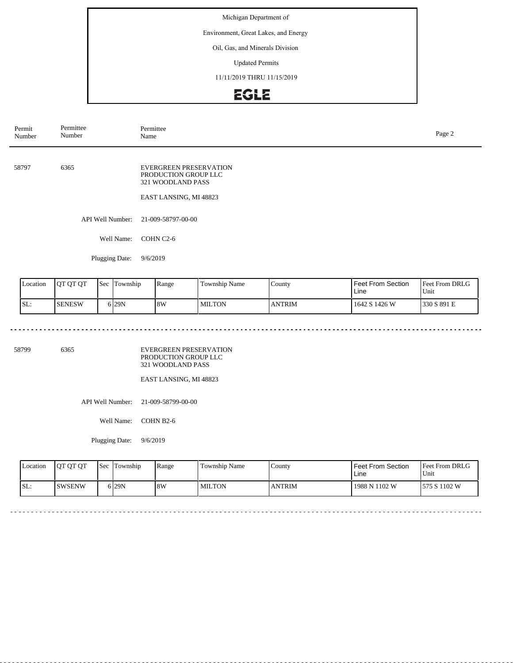Environment, Great Lakes, and Energy

#### Oil, Gas, and Minerals Division

Updated Permits

11/11/2019 THRU 11/15/2019

# EGLE

| Permit<br>Number | Permittee<br>Number | Permittee<br>Name                                                                                    | Page 2 |
|------------------|---------------------|------------------------------------------------------------------------------------------------------|--------|
| 58797            | 6365                | <b>EVERGREEN PRESERVATION</b><br>PRODUCTION GROUP LLC<br>321 WOODLAND PASS<br>EAST LANSING, MI 48823 |        |
|                  | API Well Number:    | 21-009-58797-00-00                                                                                   |        |
|                  | Well Name:          | COHN C2-6                                                                                            |        |
|                  |                     |                                                                                                      |        |

Plugging Date: 9/6/2019

<u>. . . . . . . . .</u>

| Location | <b>IOT OT OT</b> | <b>Sec</b> | Township         | Range | Township Name | County        | Feet From Section<br>Line | <b>Feet From DRLG</b><br>'Unit |
|----------|------------------|------------|------------------|-------|---------------|---------------|---------------------------|--------------------------------|
| ISL:     | <b>SENESW</b>    |            | 6 <sub>29N</sub> | 8W    | <b>MILTON</b> | <b>ANTRIM</b> | 1642 S 1426 W             | 1330 S 891 E                   |

a a a a a  $\sim$   $\sim$   $\sim$   $\sim$ 

 $\sim$   $\sim$  $\sim$   $\sim$   $\sim$   $\sim$   $\sim$ 

<u>a didi didi di didi d</u>

58799 6365

EVERGREEN PRESERVATION PRODUCTION GROUP LLC 321 WOODLAND PASS

EAST LANSING, MI 48823

API Well Number: 21-009-58799-00-00

Well Name: COHN B2-6

Plugging Date: 9/6/2019

| <b>Location</b> | <b>OT OT OT</b> | <b>Sec Township</b> | Range | Township Name | County        | Feet From Section<br>Line | <b>Feet From DRLG</b><br>Unit |
|-----------------|-----------------|---------------------|-------|---------------|---------------|---------------------------|-------------------------------|
| SL:             | ISWSENW         | 6 29 N              | 8W    | <b>MILTON</b> | <b>ANTRIM</b> | 1988 N 1102 W             | 575 S 1102 W                  |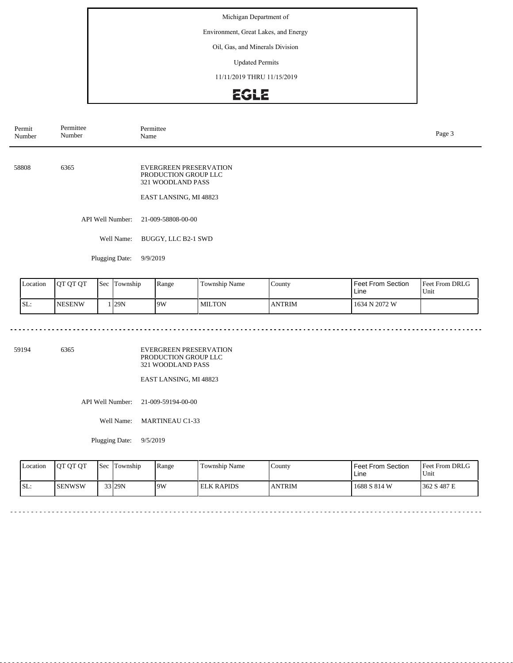Environment, Great Lakes, and Energy

#### Oil, Gas, and Minerals Division

Updated Permits

11/11/2019 THRU 11/15/2019

# EGLE

| Permit<br>Number | Permittee<br>Number | Permittee<br>Name                                                                                    | Page 3 |
|------------------|---------------------|------------------------------------------------------------------------------------------------------|--------|
| 58808            | 6365                | <b>EVERGREEN PRESERVATION</b><br>PRODUCTION GROUP LLC<br>321 WOODLAND PASS<br>EAST LANSING, MI 48823 |        |
|                  | API Well Number:    | 21-009-58808-00-00                                                                                   |        |
|                  | Well Name:          | BUGGY, LLC B2-1 SWD                                                                                  |        |

Plugging Date: 9/9/2019

<u>. . . . . . . . .</u>

| Location | <b>IOT OT OT</b> | <b>Sec</b> | Township | Range | <b>Township Name</b> | County        | Feet From Section<br>Line | <b>Feet From DRLG</b><br>Unit |
|----------|------------------|------------|----------|-------|----------------------|---------------|---------------------------|-------------------------------|
| SL:      | <b>NESENW</b>    |            | 129N     | 19W   | <b>MILTON</b>        | <b>ANTRIM</b> | 1634 N 2072 W             |                               |

 $\mathcal{L}^{\mathcal{L}} = \mathcal{L}^{\mathcal{L}} = \mathcal{L}^{\mathcal{L}} = \mathcal{L}^{\mathcal{L}}$ 

 $\sim$   $\sim$ 

 $\sim$   $\sim$  $\sim$   $\sim$   $\sim$   $\sim$   $\sim$ 

<u>a didi didi di didi d</u>

59194 6365

EVERGREEN PRESERVATION PRODUCTION GROUP LLC 321 WOODLAND PASS

EAST LANSING, MI 48823

API Well Number: 21-009-59194-00-00

Well Name: MARTINEAU C1-33

Plugging Date: 9/5/2019

| <b>Location</b> | <b>OT OT OT</b> | <b>Sec</b> Township | Range | Township Name     | County        | Feet From Section<br>Line | <b>Feet From DRLG</b><br>Unit |
|-----------------|-----------------|---------------------|-------|-------------------|---------------|---------------------------|-------------------------------|
| SL:             | <b>I</b> SENWSW | 33 29N              | 9W    | <b>ELK RAPIDS</b> | <b>ANTRIM</b> | 1688 S 814 W              | 1362 S 487 E                  |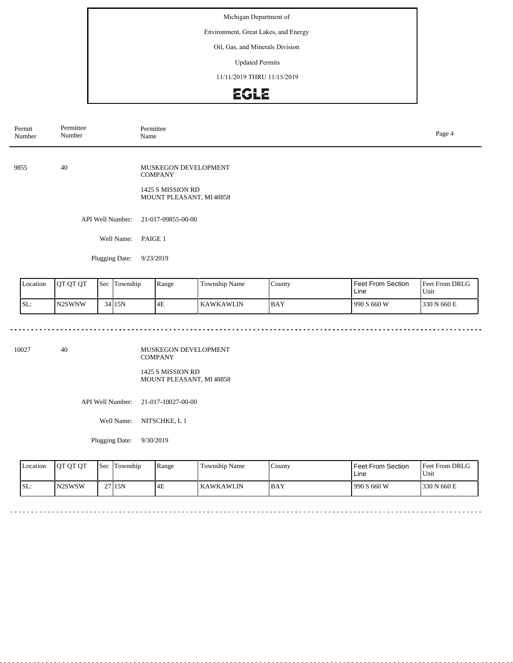Environment, Great Lakes, and Energy

### Oil, Gas, and Minerals Division

Updated Permits

11/11/2019 THRU 11/15/2019

## EGLE

| Permit<br>Number | Permittee<br>Number | Permittee<br>Name                                                                      | Page 4 |
|------------------|---------------------|----------------------------------------------------------------------------------------|--------|
| 9855             | 40                  | MUSKEGON DEVELOPMENT<br><b>COMPANY</b><br>1425 S MISSION RD<br>MOUNT PLEASANT, MI48858 |        |
|                  |                     | API Well Number: 21-017-09855-00-00                                                    |        |
|                  | Well Name:          | PAIGE 1                                                                                |        |
|                  |                     |                                                                                        |        |

Feet From DRLG Unit 990 S 660 W 330 N 660 E Feet From Section Line County BAY Location | QT QT QT | Sec | Township | Range | Township Name SL: N2SWNW Sec Township 34 15N 4E KAWKAWLIN

10027 40

MUSKEGON DEVELOPMENT COMPANY 1425 S MISSION RD

MOUNT PLEASANT, MI 48858

API Well Number: 21-017-10027-00-00

Well Name: NITSCHKE, L 1

Plugging Date: 9/30/2019

Plugging Date: 9/23/2019

| <b>Location</b> | <b>IOT OT OT</b> | <b>Sec</b> | Township | Range | Township Name | County | Feet From Section<br>Line | <b>Feet From DRLG</b><br>Unit |
|-----------------|------------------|------------|----------|-------|---------------|--------|---------------------------|-------------------------------|
| ISL:            | IN2SWSW          |            | 27 15N   | 4E    | KAWKAWLIN     | 1 BAY  | 1990 S 660 W              | 1330 N 660 E                  |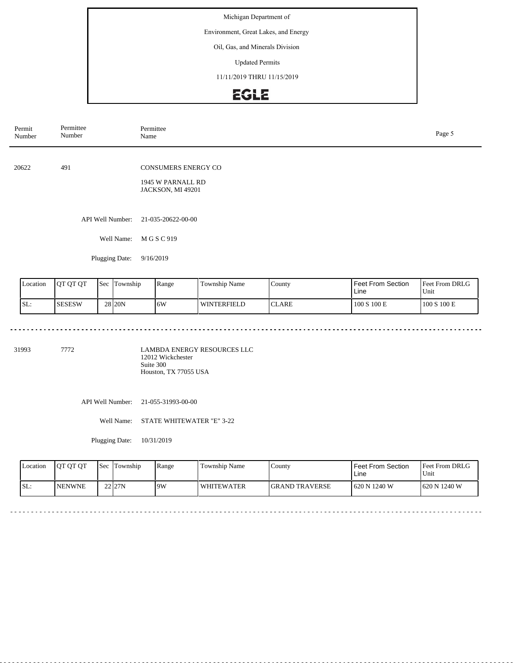Environment, Great Lakes, and Energy

### Oil, Gas, and Minerals Division

Updated Permits

11/11/2019 THRU 11/15/2019

# EGLE

| Permit<br>Number | Permittee<br>Number | Permittee<br>Name                                                    | Page 5 |
|------------------|---------------------|----------------------------------------------------------------------|--------|
| 20622            | 491                 | <b>CONSUMERS ENERGY CO</b><br>1945 W PARNALL RD<br>JACKSON, MI 49201 |        |
|                  | API Well Number:    | 21-035-20622-00-00                                                   |        |
|                  | Well Name:          | M G S C 919                                                          |        |
|                  | Plugging Date:      | 9/16/2019                                                            |        |
|                  |                     |                                                                      |        |

| Location | <b>JOT OT OT</b> | 'Sec | lm<br>Township    | l Range | Township Name | County | <b>Feet From Section</b><br>Line | <b>Feet From DRLG</b><br>Unit |
|----------|------------------|------|-------------------|---------|---------------|--------|----------------------------------|-------------------------------|
| ISL:     | <b>SESESW</b>    |      | 28 <sub>20N</sub> | 16W     | l winterfield | ICLARE | 100 S 100 E                      | 100 S 100 E                   |

 $\omega$  in  $\omega$  in

31993 7772

LAMBDA ENERGY RESOURCES LLC 12012 Wickchester Suite 300 Houston, TX 77055 USA

API Well Number: 21-055-31993-00-00

Well Name: STATE WHITEWATER "E" 3-22

Plugging Date: 10/31/2019

<u>. . . . . . . . . . . . .</u>

| <b>Location</b> | <b>IOT OT OT</b> | <b>Sec</b> | Township           | Range | Township Name     | County                 | l Feet From Section_<br>Line | <b>Feet From DRLG</b><br>Unit |
|-----------------|------------------|------------|--------------------|-------|-------------------|------------------------|------------------------------|-------------------------------|
| ISL:            | <b>INENWNE</b>   |            | 22 <sub>127N</sub> | 9W    | <b>WHITEWATER</b> | <b>IGRAND TRAVERSE</b> | 1620 N 1240 W                | 1620 N 1240 W                 |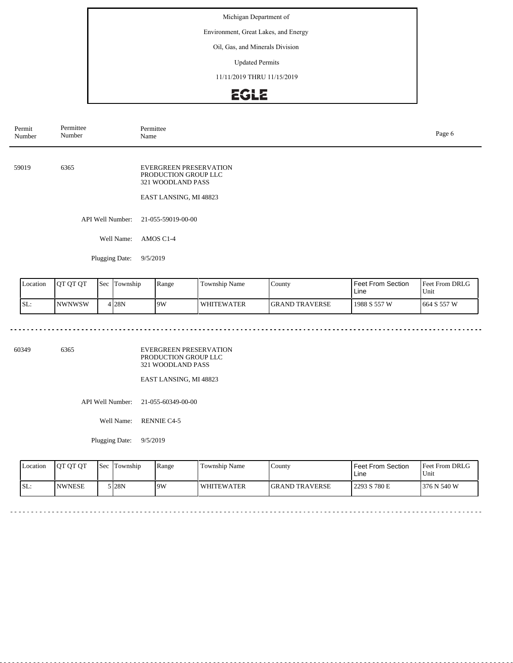Environment, Great Lakes, and Energy

### Oil, Gas, and Minerals Division

Updated Permits

11/11/2019 THRU 11/15/2019

# **EGLE**

| Permit<br>Number | Permittee<br>Number | Permittee<br>Name                                                                                    | Page 6 |
|------------------|---------------------|------------------------------------------------------------------------------------------------------|--------|
| 59019            | 6365                | <b>EVERGREEN PRESERVATION</b><br>PRODUCTION GROUP LLC<br>321 WOODLAND PASS<br>EAST LANSING, MI 48823 |        |
|                  | API Well Number:    | 21-055-59019-00-00                                                                                   |        |
|                  | Well Name:          | AMOS C1-4                                                                                            |        |

Plugging Date: 9/5/2019

<u>. . . . . . . . .</u>

| Location | <b>IOT OT OT</b> | <b>Sec</b> | Township | Range | <b>Township Name</b> | County                 | Feet From Section<br>Line | <b>Feet From DRLG</b><br>Unit |
|----------|------------------|------------|----------|-------|----------------------|------------------------|---------------------------|-------------------------------|
| ISL:     | <b>NWNWSW</b>    |            | 4 I 28 N | 19W   | I WHITEWATER         | <b>IGRAND TRAVERSE</b> | 1988 S 557 W              | 1664 S 557 W                  |

 $\omega$  and  $\omega$ 

 $\sim$   $\sim$   $\sim$ 

dia dia dia d

60349 6365

EVERGREEN PRESERVATION PRODUCTION GROUP LLC 321 WOODLAND PASS

EAST LANSING, MI 48823

API Well Number: 21-055-60349-00-00

Well Name: RENNIE C4-5

Plugging Date: 9/5/2019

| <b>Location</b> | <b>OT OT OT</b> | <b>Sec</b> | Township | Range | Township Name     | County                 | l Feet From Section<br>∟ine | <b>Feet From DRLG</b><br>Unit |
|-----------------|-----------------|------------|----------|-------|-------------------|------------------------|-----------------------------|-------------------------------|
| SL:             | <b>INWNESE</b>  |            | 5 28N    | 9W    | <b>WHITEWATER</b> | <b>IGRAND TRAVERSE</b> | 2293 S 780 E                | 1376 N 540 W                  |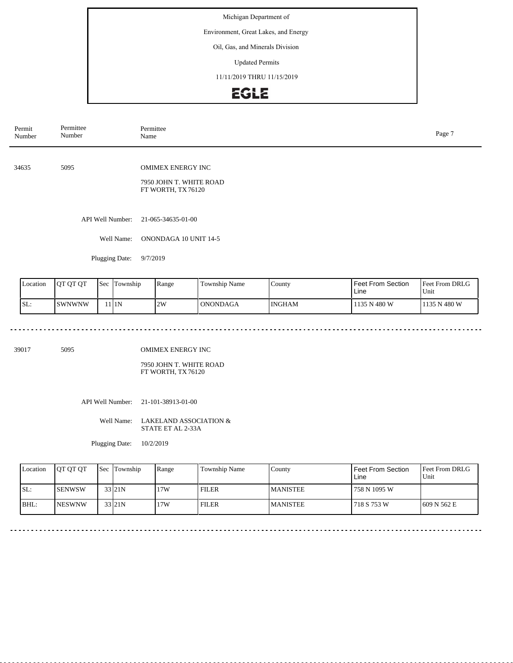Environment, Great Lakes, and Energy

### Oil, Gas, and Minerals Division

Updated Permits

11/11/2019 THRU 11/15/2019

# EGLE

| Permittee<br>Number | Permittee<br>Name                                                        | Page 7 |
|---------------------|--------------------------------------------------------------------------|--------|
| 5095                | <b>OMIMEX ENERGY INC</b><br>7950 JOHN T. WHITE ROAD<br>FT WORTH, TX76120 |        |
| API Well Number:    | 21-065-34635-01-00                                                       |        |
| Well Name:          | ONONDAGA 10 UNIT 14-5                                                    |        |
| Plugging Date:      | 9/7/2019                                                                 |        |
|                     |                                                                          |        |

| Location | <b>JOT OT OT</b> | 'Sec | lm<br>Township | Range | <b>Township Name</b> | $\text{Country}$ | <b>Feet From Section</b><br>Line | <b>Feet From DRLG</b><br>Unit |
|----------|------------------|------|----------------|-------|----------------------|------------------|----------------------------------|-------------------------------|
| ISL:     | lswnwnw          |      | 111N           | 2W    | <b>ONONDAGA</b>      | <b>INGHAM</b>    | 1135 N 480 W                     | 1135 N 480 W                  |

39017 5095

OMIMEX ENERGY INC

7950 JOHN T. WHITE ROAD FT WORTH, TX 76120

API Well Number: 21-101-38913-01-00

#### Well Name: LAKELAND ASSOCIATION & STATE ET AL 2-33A

Plugging Date: 10/2/2019

| Location | <b>IOT OT OT</b> | <b>Sec Township</b> | 'Range | Township Name | County          | Feet From Section<br>Line | <b>Feet From DRLG</b><br>Unit |
|----------|------------------|---------------------|--------|---------------|-----------------|---------------------------|-------------------------------|
| ISL:     | <b>ISENWSW</b>   | 33 21N              | 17W    | <b>FILER</b>  | <b>MANISTEE</b> | 758 N 1095 W              |                               |
| BHL:     | <b>INESWNW</b>   | 33 <sub>121</sub> N | 17W    | <b>FILER</b>  | <b>MANISTEE</b> | 718 S 753 W               | 1609 N 562 E                  |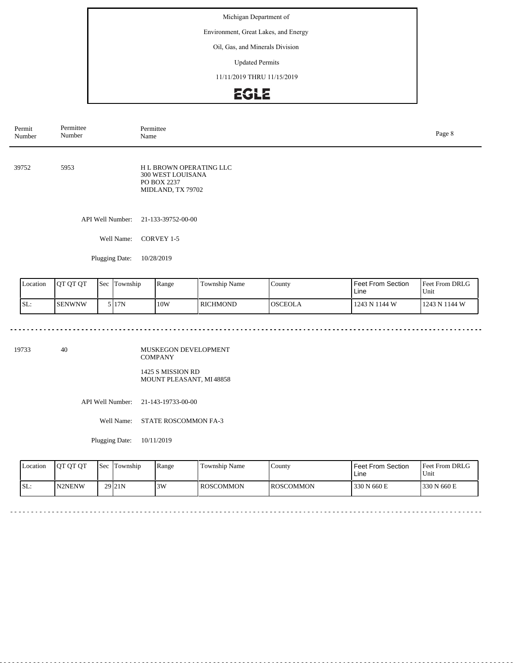Environment, Great Lakes, and Energy

### Oil, Gas, and Minerals Division

Updated Permits

11/11/2019 THRU 11/15/2019

# EGLE

| Permit<br>Number | Permittee<br>Number | Permittee<br>Name                                                                      |  |  |  |  |  |
|------------------|---------------------|----------------------------------------------------------------------------------------|--|--|--|--|--|
| 39752            | 5953                | <b>HL BROWN OPERATING LLC</b><br>300 WEST LOUISANA<br>PO BOX 2237<br>MIDLAND, TX 79702 |  |  |  |  |  |
|                  | API Well Number:    | 21-133-39752-00-00                                                                     |  |  |  |  |  |
|                  | Well Name:          | CORVEY 1-5                                                                             |  |  |  |  |  |
|                  | Plugging Date:      | 10/28/2019                                                                             |  |  |  |  |  |

| Location | <b>JOT OT OT</b> | <b>Sec</b> | Township | Range | Township Name   | County         | <b>Feet From Section</b><br>Line | <b>Feet From DRLG</b><br>Unit |
|----------|------------------|------------|----------|-------|-----------------|----------------|----------------------------------|-------------------------------|
| SL:      | <b>SENWNW</b>    |            | 5 I 17 N | 10W   | <b>RICHMOND</b> | <b>OSCEOLA</b> | 1243 N 1144 W                    | 1243 N 1144 W                 |

 $\sim$   $\sim$   $\sim$   $\sim$ 

 $\sim$   $\sim$   $\sim$ 

19733 40

MUSKEGON DEVELOPMENT COMPANY 1425 S MISSION RD

MOUNT PLEASANT, MI48858

API Well Number: 21-143-19733-00-00

Well Name: STATE ROSCOMMON FA-3

Plugging Date: 10/11/2019

<u>. . . . . . . . . . . . . . . .</u>

| <b>Location</b> | <b>OT OT OT</b> | <b>Sec</b> | Township            | Range | Township Name    | County            | <b>Feet From Section</b><br>Line | <b>Feet From DRLG</b><br>'Unit |
|-----------------|-----------------|------------|---------------------|-------|------------------|-------------------|----------------------------------|--------------------------------|
| SL:             | <b>IN2NENW</b>  |            | 29 <sub>121</sub> N | 3W    | <b>ROSCOMMON</b> | <b>IROSCOMMON</b> | 330 N 660 E                      | 1330 N 660 E                   |